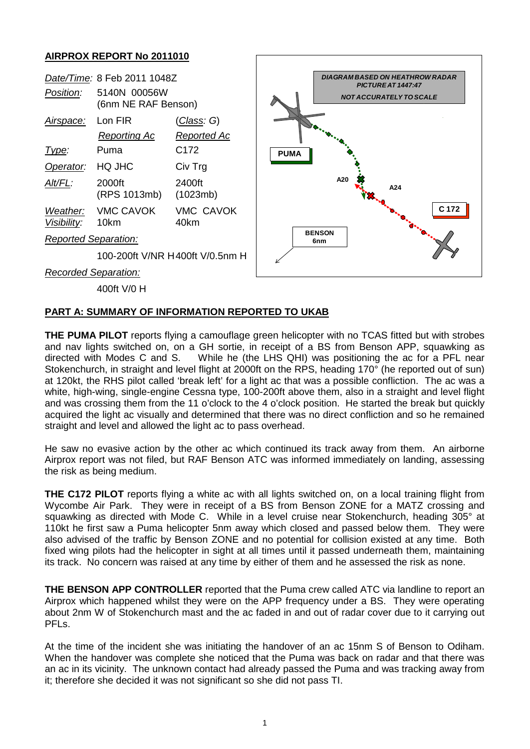## **AIRPROX REPORT No 2011010**



## **PART A: SUMMARY OF INFORMATION REPORTED TO UKAB**

**THE PUMA PILOT** reports flying a camouflage green helicopter with no TCAS fitted but with strobes and nav lights switched on, on a GH sortie, in receipt of a BS from Benson APP, squawking as directed with Modes C and S. While he (the LHS QHI) was positioning the ac for a PFL near Stokenchurch, in straight and level flight at 2000ft on the RPS, heading 170° (he reported out of sun) at 120kt, the RHS pilot called 'break left' for a light ac that was a possible confliction. The ac was a white, high-wing, single-engine Cessna type, 100-200ft above them, also in a straight and level flight and was crossing them from the 11 o'clock to the 4 o'clock position. He started the break but quickly acquired the light ac visually and determined that there was no direct confliction and so he remained straight and level and allowed the light ac to pass overhead.

He saw no evasive action by the other ac which continued its track away from them. An airborne Airprox report was not filed, but RAF Benson ATC was informed immediately on landing, assessing the risk as being medium.

**THE C172 PILOT** reports flying a white ac with all lights switched on, on a local training flight from Wycombe Air Park. They were in receipt of a BS from Benson ZONE for a MATZ crossing and squawking as directed with Mode C. While in a level cruise near Stokenchurch, heading 305° at 110kt he first saw a Puma helicopter 5nm away which closed and passed below them. They were also advised of the traffic by Benson ZONE and no potential for collision existed at any time. Both fixed wing pilots had the helicopter in sight at all times until it passed underneath them, maintaining its track. No concern was raised at any time by either of them and he assessed the risk as none.

**THE BENSON APP CONTROLLER** reported that the Puma crew called ATC via landline to report an Airprox which happened whilst they were on the APP frequency under a BS. They were operating about 2nm W of Stokenchurch mast and the ac faded in and out of radar cover due to it carrying out PFLs.

At the time of the incident she was initiating the handover of an ac 15nm S of Benson to Odiham. When the handover was complete she noticed that the Puma was back on radar and that there was an ac in its vicinity. The unknown contact had already passed the Puma and was tracking away from it; therefore she decided it was not significant so she did not pass TI.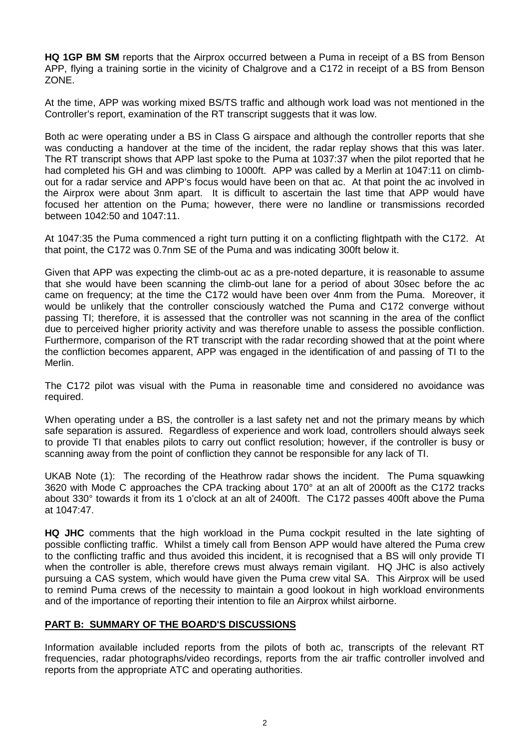**HQ 1GP BM SM** reports that the Airprox occurred between a Puma in receipt of a BS from Benson APP, flying a training sortie in the vicinity of Chalgrove and a C172 in receipt of a BS from Benson ZONE.

At the time, APP was working mixed BS/TS traffic and although work load was not mentioned in the Controller's report, examination of the RT transcript suggests that it was low.

Both ac were operating under a BS in Class G airspace and although the controller reports that she was conducting a handover at the time of the incident, the radar replay shows that this was later. The RT transcript shows that APP last spoke to the Puma at 1037:37 when the pilot reported that he had completed his GH and was climbing to 1000ft. APP was called by a Merlin at 1047:11 on climbout for a radar service and APP's focus would have been on that ac. At that point the ac involved in the Airprox were about 3nm apart. It is difficult to ascertain the last time that APP would have focused her attention on the Puma; however, there were no landline or transmissions recorded between 1042:50 and 1047:11.

At 1047:35 the Puma commenced a right turn putting it on a conflicting flightpath with the C172. At that point, the C172 was 0.7nm SE of the Puma and was indicating 300ft below it.

Given that APP was expecting the climb-out ac as a pre-noted departure, it is reasonable to assume that she would have been scanning the climb-out lane for a period of about 30sec before the ac came on frequency; at the time the C172 would have been over 4nm from the Puma. Moreover, it would be unlikely that the controller consciously watched the Puma and C172 converge without passing TI; therefore, it is assessed that the controller was not scanning in the area of the conflict due to perceived higher priority activity and was therefore unable to assess the possible confliction. Furthermore, comparison of the RT transcript with the radar recording showed that at the point where the confliction becomes apparent, APP was engaged in the identification of and passing of TI to the Merlin.

The C172 pilot was visual with the Puma in reasonable time and considered no avoidance was required.

When operating under a BS, the controller is a last safety net and not the primary means by which safe separation is assured. Regardless of experience and work load, controllers should always seek to provide TI that enables pilots to carry out conflict resolution; however, if the controller is busy or scanning away from the point of confliction they cannot be responsible for any lack of TI.

UKAB Note (1): The recording of the Heathrow radar shows the incident. The Puma squawking 3620 with Mode C approaches the CPA tracking about 170° at an alt of 2000ft as the C172 tracks about 330° towards it from its 1 o'clock at an alt of 2400ft. The C172 passes 400ft above the Puma at 1047:47.

**HQ JHC** comments that the high workload in the Puma cockpit resulted in the late sighting of possible conflicting traffic. Whilst a timely call from Benson APP would have altered the Puma crew to the conflicting traffic and thus avoided this incident, it is recognised that a BS will only provide TI when the controller is able, therefore crews must always remain vigilant. HQ JHC is also actively pursuing a CAS system, which would have given the Puma crew vital SA. This Airprox will be used to remind Puma crews of the necessity to maintain a good lookout in high workload environments and of the importance of reporting their intention to file an Airprox whilst airborne.

## **PART B: SUMMARY OF THE BOARD'S DISCUSSIONS**

Information available included reports from the pilots of both ac, transcripts of the relevant RT frequencies, radar photographs/video recordings, reports from the air traffic controller involved and reports from the appropriate ATC and operating authorities.